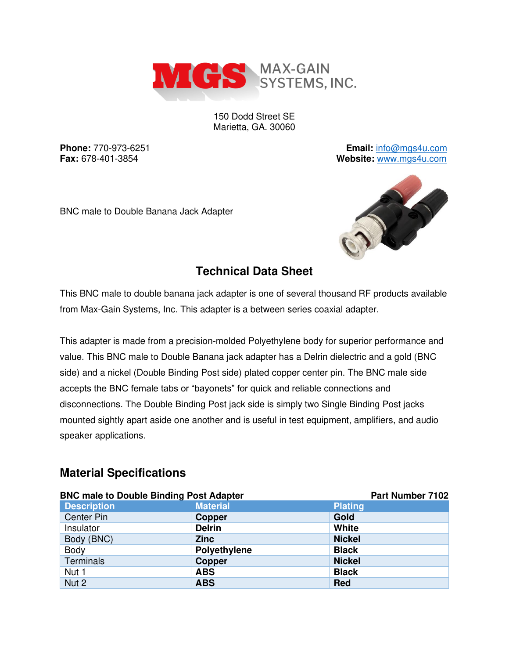

150 Dodd Street SE Marietta, GA. 30060

**Phone:** 770-973-6251 **Email:** [info@mgs4u.com](mailto:info@mgs4u.com) **Fax:** 678-401-3854 **Website:** [www.mgs4u.com](http://www.mgs4u.com/)





# **Technical Data Sheet**

This BNC male to double banana jack adapter is one of several thousand RF products available from Max-Gain Systems, Inc. This adapter is a between series coaxial adapter.

This adapter is made from a precision-molded Polyethylene body for superior performance and value. This BNC male to Double Banana jack adapter has a Delrin dielectric and a gold (BNC side) and a nickel (Double Binding Post side) plated copper center pin. The BNC male side accepts the BNC female tabs or "bayonets" for quick and reliable connections and disconnections. The Double Binding Post jack side is simply two Single Binding Post jacks mounted sightly apart aside one another and is useful in test equipment, amplifiers, and audio speaker applications.

## **Material Specifications**

| <b>BNC male to Double Binding Post Adapter</b> | Part Number 7102    |                |
|------------------------------------------------|---------------------|----------------|
| <b>Description</b>                             | <b>Material</b>     | <b>Plating</b> |
| <b>Center Pin</b>                              | <b>Copper</b>       | Gold           |
| Insulator                                      | <b>Delrin</b>       | White          |
| Body (BNC)                                     | <b>Zinc</b>         | <b>Nickel</b>  |
| Body                                           | <b>Polyethylene</b> | <b>Black</b>   |
| <b>Terminals</b>                               | <b>Copper</b>       | <b>Nickel</b>  |
| Nut 1                                          | <b>ABS</b>          | <b>Black</b>   |
| Nut 2                                          | <b>ABS</b>          | <b>Red</b>     |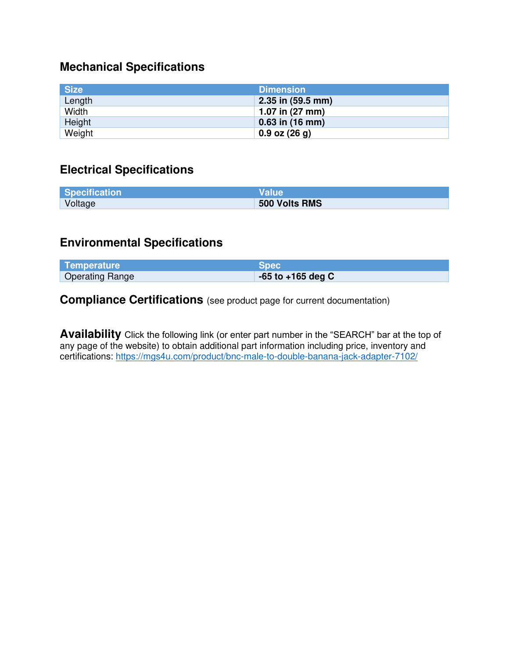#### **Mechanical Specifications**

| <b>Size</b> | <b>Dimension</b>  |
|-------------|-------------------|
| Length      | 2.35 in (59.5 mm) |
| Width       | 1.07 in (27 mm)   |
| Height      | $0.63$ in (16 mm) |
| Weight      | $0.9$ oz $(26g)$  |

### **Electrical Specifications**

| <b>Specification</b> | <b>Value</b>  |
|----------------------|---------------|
| Voltage              | 500 Volts RMS |

#### **Environmental Specifications**

| Temperature            | <b>Spec</b>           |
|------------------------|-----------------------|
| <b>Operating Range</b> | $-65$ to $+165$ deg C |

**Compliance Certifications** (see product page for current documentation)

**Availability** Click the following link (or enter part number in the "SEARCH" bar at the top of any page of the website) to obtain additional part information including price, inventory and certifications:<https://mgs4u.com/product/bnc-male-to-double-banana-jack-adapter-7102/>